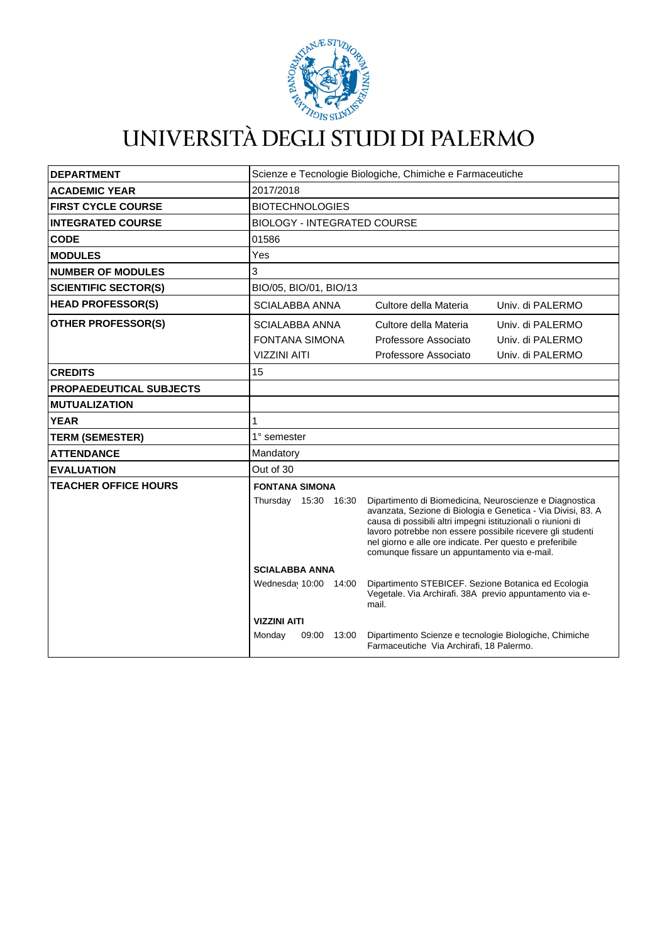

# UNIVERSITÀ DEGLI STUDI DI PALERMO

| <b>DEPARTMENT</b>              | Scienze e Tecnologie Biologiche, Chimiche e Farmaceutiche                                                                                        |       |                                                                                                                                                                                                                                                                                                                                                                   |                                      |
|--------------------------------|--------------------------------------------------------------------------------------------------------------------------------------------------|-------|-------------------------------------------------------------------------------------------------------------------------------------------------------------------------------------------------------------------------------------------------------------------------------------------------------------------------------------------------------------------|--------------------------------------|
| <b>ACADEMIC YEAR</b>           | 2017/2018                                                                                                                                        |       |                                                                                                                                                                                                                                                                                                                                                                   |                                      |
| <b>FIRST CYCLE COURSE</b>      | <b>BIOTECHNOLOGIES</b>                                                                                                                           |       |                                                                                                                                                                                                                                                                                                                                                                   |                                      |
| <b>INTEGRATED COURSE</b>       | <b>BIOLOGY - INTEGRATED COURSE</b>                                                                                                               |       |                                                                                                                                                                                                                                                                                                                                                                   |                                      |
| <b>CODE</b>                    | 01586                                                                                                                                            |       |                                                                                                                                                                                                                                                                                                                                                                   |                                      |
| <b>MODULES</b>                 | Yes                                                                                                                                              |       |                                                                                                                                                                                                                                                                                                                                                                   |                                      |
| <b>NUMBER OF MODULES</b>       | 3                                                                                                                                                |       |                                                                                                                                                                                                                                                                                                                                                                   |                                      |
| <b>SCIENTIFIC SECTOR(S)</b>    | BIO/05, BIO/01, BIO/13                                                                                                                           |       |                                                                                                                                                                                                                                                                                                                                                                   |                                      |
| <b>HEAD PROFESSOR(S)</b>       | <b>SCIALABBA ANNA</b>                                                                                                                            |       | Cultore della Materia                                                                                                                                                                                                                                                                                                                                             | Univ. di PALERMO                     |
| <b>OTHER PROFESSOR(S)</b>      | <b>SCIALABBA ANNA</b><br><b>FONTANA SIMONA</b>                                                                                                   |       | Cultore della Materia<br>Professore Associato                                                                                                                                                                                                                                                                                                                     | Univ. di PALERMO<br>Univ. di PALERMO |
|                                | <b>VIZZINI AITI</b>                                                                                                                              |       | Professore Associato                                                                                                                                                                                                                                                                                                                                              | Univ. di PALERMO                     |
| <b>CREDITS</b>                 | 15                                                                                                                                               |       |                                                                                                                                                                                                                                                                                                                                                                   |                                      |
| <b>PROPAEDEUTICAL SUBJECTS</b> |                                                                                                                                                  |       |                                                                                                                                                                                                                                                                                                                                                                   |                                      |
| <b>MUTUALIZATION</b>           |                                                                                                                                                  |       |                                                                                                                                                                                                                                                                                                                                                                   |                                      |
| <b>YEAR</b>                    | 1                                                                                                                                                |       |                                                                                                                                                                                                                                                                                                                                                                   |                                      |
| <b>TERM (SEMESTER)</b>         | 1° semester                                                                                                                                      |       |                                                                                                                                                                                                                                                                                                                                                                   |                                      |
| <b>ATTENDANCE</b>              | Mandatory                                                                                                                                        |       |                                                                                                                                                                                                                                                                                                                                                                   |                                      |
| <b>EVALUATION</b>              | Out of 30                                                                                                                                        |       |                                                                                                                                                                                                                                                                                                                                                                   |                                      |
| <b>TEACHER OFFICE HOURS</b>    | <b>FONTANA SIMONA</b>                                                                                                                            |       |                                                                                                                                                                                                                                                                                                                                                                   |                                      |
|                                | Thursday 15:30 16:30                                                                                                                             |       | Dipartimento di Biomedicina, Neuroscienze e Diagnostica<br>avanzata, Sezione di Biologia e Genetica - Via Divisi, 83. A<br>causa di possibili altri impegni istituzionali o riunioni di<br>lavoro potrebbe non essere possibile ricevere gli studenti<br>nel giorno e alle ore indicate. Per questo e preferibile<br>comunque fissare un appuntamento via e-mail. |                                      |
|                                | <b>SCIALABBA ANNA</b>                                                                                                                            |       |                                                                                                                                                                                                                                                                                                                                                                   |                                      |
|                                | Wednesday 10:00 14:00<br>Dipartimento STEBICEF. Sezione Botanica ed Ecologia<br>Vegetale. Via Archirafi. 38A previo appuntamento via e-<br>mail. |       |                                                                                                                                                                                                                                                                                                                                                                   |                                      |
|                                | <b>VIZZINI AITI</b>                                                                                                                              |       |                                                                                                                                                                                                                                                                                                                                                                   |                                      |
|                                | Monday<br>09:00                                                                                                                                  | 13:00 | Dipartimento Scienze e tecnologie Biologiche, Chimiche<br>Farmaceutiche Via Archirafi, 18 Palermo.                                                                                                                                                                                                                                                                |                                      |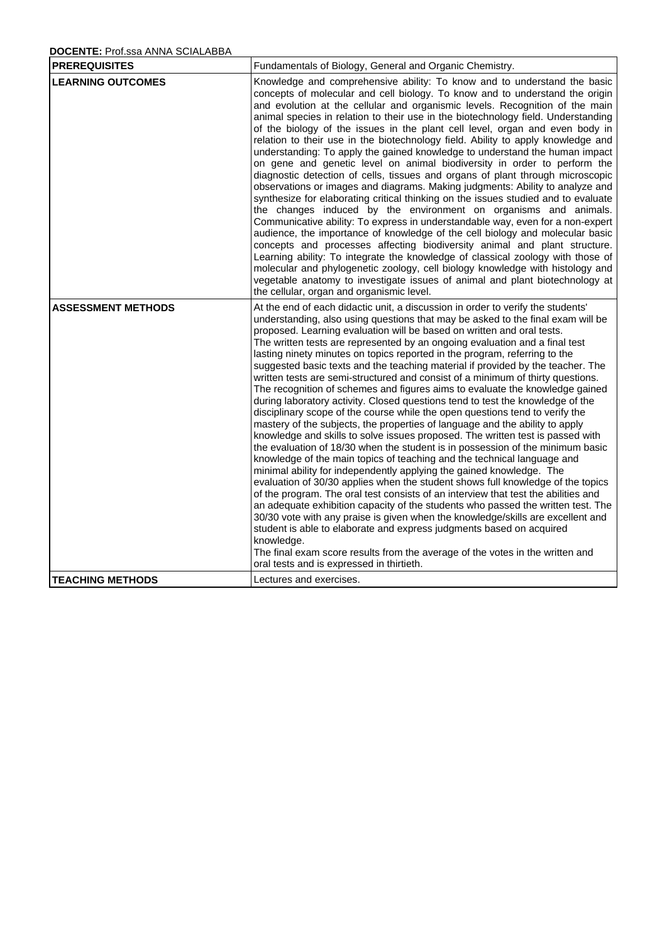## **DOCENTE:** Prof.ssa ANNA SCIALABBA

| <b>PREREQUISITES</b>      | Fundamentals of Biology, General and Organic Chemistry.                                                                                                                                                                                                                                                                                                                                                                                                                                                                                                                                                                                                                                                                                                                                                                                                                                                                                                                                                                                                                                                                                                                                                                                                                                                                                                                                                                                                                                                                                                                                                                                                                                                                                                                                                      |
|---------------------------|--------------------------------------------------------------------------------------------------------------------------------------------------------------------------------------------------------------------------------------------------------------------------------------------------------------------------------------------------------------------------------------------------------------------------------------------------------------------------------------------------------------------------------------------------------------------------------------------------------------------------------------------------------------------------------------------------------------------------------------------------------------------------------------------------------------------------------------------------------------------------------------------------------------------------------------------------------------------------------------------------------------------------------------------------------------------------------------------------------------------------------------------------------------------------------------------------------------------------------------------------------------------------------------------------------------------------------------------------------------------------------------------------------------------------------------------------------------------------------------------------------------------------------------------------------------------------------------------------------------------------------------------------------------------------------------------------------------------------------------------------------------------------------------------------------------|
| <b>LEARNING OUTCOMES</b>  | Knowledge and comprehensive ability: To know and to understand the basic<br>concepts of molecular and cell biology. To know and to understand the origin<br>and evolution at the cellular and organismic levels. Recognition of the main<br>animal species in relation to their use in the biotechnology field. Understanding<br>of the biology of the issues in the plant cell level, organ and even body in<br>relation to their use in the biotechnology field. Ability to apply knowledge and<br>understanding: To apply the gained knowledge to understand the human impact<br>on gene and genetic level on animal biodiversity in order to perform the<br>diagnostic detection of cells, tissues and organs of plant through microscopic<br>observations or images and diagrams. Making judgments: Ability to analyze and<br>synthesize for elaborating critical thinking on the issues studied and to evaluate<br>the changes induced by the environment on organisms and animals.<br>Communicative ability: To express in understandable way, even for a non-expert<br>audience, the importance of knowledge of the cell biology and molecular basic<br>concepts and processes affecting biodiversity animal and plant structure.<br>Learning ability: To integrate the knowledge of classical zoology with those of<br>molecular and phylogenetic zoology, cell biology knowledge with histology and<br>vegetable anatomy to investigate issues of animal and plant biotechnology at<br>the cellular, organ and organismic level.                                                                                                                                                                                                                                                                   |
| <b>ASSESSMENT METHODS</b> | At the end of each didactic unit, a discussion in order to verify the students'<br>understanding, also using questions that may be asked to the final exam will be<br>proposed. Learning evaluation will be based on written and oral tests.<br>The written tests are represented by an ongoing evaluation and a final test<br>lasting ninety minutes on topics reported in the program, referring to the<br>suggested basic texts and the teaching material if provided by the teacher. The<br>written tests are semi-structured and consist of a minimum of thirty questions.<br>The recognition of schemes and figures aims to evaluate the knowledge gained<br>during laboratory activity. Closed questions tend to test the knowledge of the<br>disciplinary scope of the course while the open questions tend to verify the<br>mastery of the subjects, the properties of language and the ability to apply<br>knowledge and skills to solve issues proposed. The written test is passed with<br>the evaluation of 18/30 when the student is in possession of the minimum basic<br>knowledge of the main topics of teaching and the technical language and<br>minimal ability for independently applying the gained knowledge. The<br>evaluation of 30/30 applies when the student shows full knowledge of the topics<br>of the program. The oral test consists of an interview that test the abilities and<br>an adequate exhibition capacity of the students who passed the written test. The<br>30/30 vote with any praise is given when the knowledge/skills are excellent and<br>student is able to elaborate and express judgments based on acquired<br>knowledge.<br>The final exam score results from the average of the votes in the written and<br>oral tests and is expressed in thirtieth. |
| <b>TEACHING METHODS</b>   | Lectures and exercises.                                                                                                                                                                                                                                                                                                                                                                                                                                                                                                                                                                                                                                                                                                                                                                                                                                                                                                                                                                                                                                                                                                                                                                                                                                                                                                                                                                                                                                                                                                                                                                                                                                                                                                                                                                                      |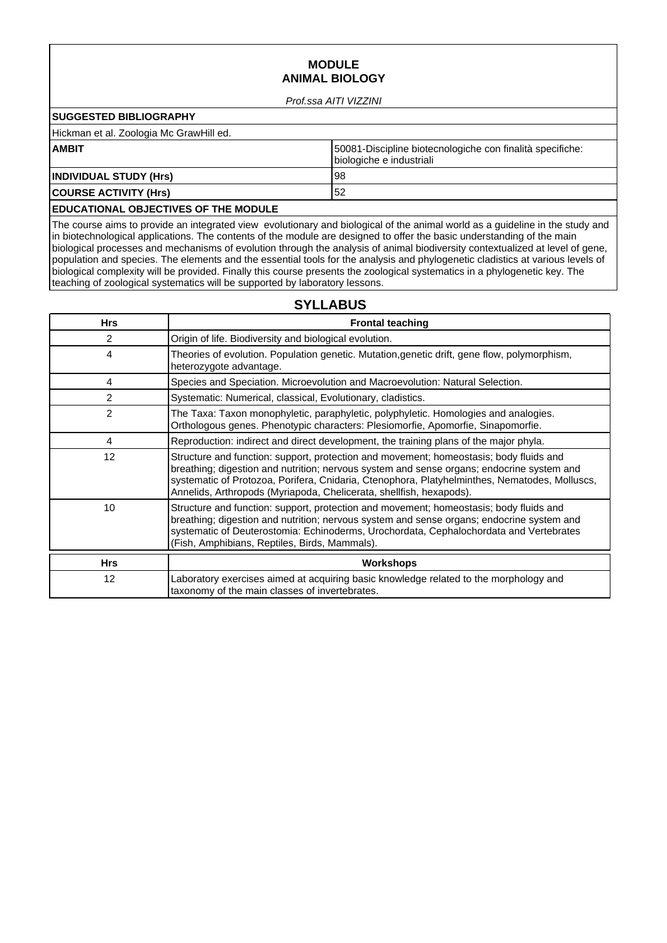## **MODULE ANIMAL BIOLOGY**

#### Prof.ssa AITI VIZZINI

## **SUGGESTED BIBLIOGRAPHY**

Hickman et al. Zoologia Mc GrawHill ed.

| <b>AMBIT</b>                  | 50081-Discipline biotecnologiche con finalità specifiche:<br>biologiche e industriali |
|-------------------------------|---------------------------------------------------------------------------------------|
| <b>INDIVIDUAL STUDY (Hrs)</b> | 98                                                                                    |
| <b>COURSE ACTIVITY (Hrs)</b>  | 52                                                                                    |

## **EDUCATIONAL OBJECTIVES OF THE MODULE**

The course aims to provide an integrated view evolutionary and biological of the animal world as a guideline in the study and in biotechnological applications. The contents of the module are designed to offer the basic understanding of the main biological processes and mechanisms of evolution through the analysis of animal biodiversity contextualized at level of gene, population and species. The elements and the essential tools for the analysis and phylogenetic cladistics at various levels of biological complexity will be provided. Finally this course presents the zoological systematics in a phylogenetic key. The teaching of zoological systematics will be supported by laboratory lessons.

## **SYLLABUS**

| <b>Hrs</b> | <b>Frontal teaching</b>                                                                                                                                                                                                                                                                                                                                     |
|------------|-------------------------------------------------------------------------------------------------------------------------------------------------------------------------------------------------------------------------------------------------------------------------------------------------------------------------------------------------------------|
| 2          | Origin of life. Biodiversity and biological evolution.                                                                                                                                                                                                                                                                                                      |
| 4          | Theories of evolution. Population genetic. Mutation, genetic drift, gene flow, polymorphism,<br>heterozygote advantage.                                                                                                                                                                                                                                     |
| 4          | Species and Speciation. Microevolution and Macroevolution: Natural Selection.                                                                                                                                                                                                                                                                               |
| 2          | Systematic: Numerical, classical, Evolutionary, cladistics.                                                                                                                                                                                                                                                                                                 |
| 2          | The Taxa: Taxon monophyletic, paraphyletic, polyphyletic. Homologies and analogies.<br>Orthologous genes. Phenotypic characters: Plesiomorfie, Apomorfie, Sinapomorfie.                                                                                                                                                                                     |
| 4          | Reproduction: indirect and direct development, the training plans of the major phyla.                                                                                                                                                                                                                                                                       |
| 12         | Structure and function: support, protection and movement; homeostasis; body fluids and<br>breathing; digestion and nutrition; nervous system and sense organs; endocrine system and<br>systematic of Protozoa, Porifera, Cnidaria, Ctenophora, Platyhelminthes, Nematodes, Molluscs,<br>Annelids, Arthropods (Myriapoda, Chelicerata, shellfish, hexapods). |
| 10         | Structure and function: support, protection and movement; homeostasis; body fluids and<br>breathing; digestion and nutrition; nervous system and sense organs; endocrine system and<br>systematic of Deuterostomia: Echinoderms, Urochordata, Cephalochordata and Vertebrates<br>(Fish, Amphibians, Reptiles, Birds, Mammals).                              |
| <b>Hrs</b> | <b>Workshops</b>                                                                                                                                                                                                                                                                                                                                            |
| 12         | Laboratory exercises aimed at acquiring basic knowledge related to the morphology and<br>taxonomy of the main classes of invertebrates.                                                                                                                                                                                                                     |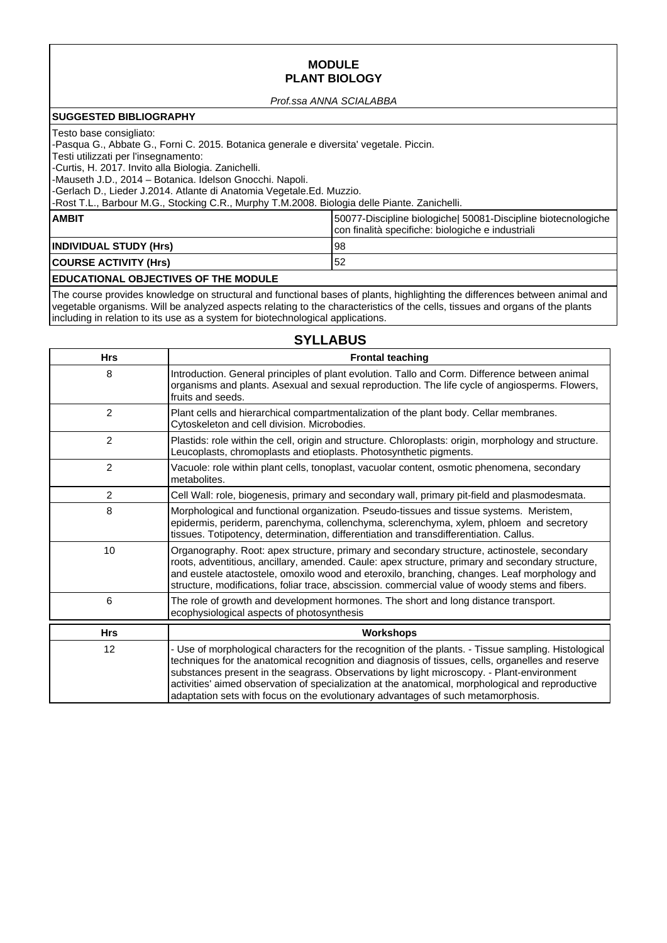## **MODULE PLANT BIOLOGY**

#### Prof.ssa ANNA SCIALABBA

#### **SUGGESTED BIBLIOGRAPHY**

#### Testo base consigliato:

-Pasqua G., Abbate G., Forni C. 2015. Botanica generale e diversita' vegetale. Piccin.

Testi utilizzati per l'insegnamento:

-Curtis, H. 2017. Invito alla Biologia. Zanichelli.

-Mauseth J.D., 2014 – Botanica. Idelson Gnocchi. Napoli.

-Gerlach D., Lieder J.2014. Atlante di Anatomia Vegetale.Ed. Muzzio.

-Rost T.L., Barbour M.G., Stocking C.R., Murphy T.M.2008. Biologia delle Piante. Zanichelli.

| <b>AMBIT</b>                                                  | [50077-Discipline biologiche] 50081-Discipline biotecnologiche<br>con finalità specifiche: biologiche e industriali |
|---------------------------------------------------------------|---------------------------------------------------------------------------------------------------------------------|
| <b>INDIVIDUAL STUDY (Hrs)</b><br><b>COURSE ACTIVITY (Hrs)</b> | ∣98<br>52                                                                                                           |
|                                                               |                                                                                                                     |

#### **EDUCATIONAL OBJECTIVES OF THE MODULE**

The course provides knowledge on structural and functional bases of plants, highlighting the differences between animal and vegetable organisms. Will be analyzed aspects relating to the characteristics of the cells, tissues and organs of the plants including in relation to its use as a system for biotechnological applications.

## **SYLLABUS**

| <b>Hrs</b>     | <b>Frontal teaching</b>                                                                                                                                                                                                                                                                                                                                                                                                                                                                         |
|----------------|-------------------------------------------------------------------------------------------------------------------------------------------------------------------------------------------------------------------------------------------------------------------------------------------------------------------------------------------------------------------------------------------------------------------------------------------------------------------------------------------------|
| 8              | Introduction. General principles of plant evolution. Tallo and Corm. Difference between animal<br>organisms and plants. Asexual and sexual reproduction. The life cycle of angiosperms. Flowers,<br>fruits and seeds.                                                                                                                                                                                                                                                                           |
| $\mathbf{2}$   | Plant cells and hierarchical compartmentalization of the plant body. Cellar membranes.<br>Cytoskeleton and cell division. Microbodies.                                                                                                                                                                                                                                                                                                                                                          |
| $\mathbf{2}$   | Plastids: role within the cell, origin and structure. Chloroplasts: origin, morphology and structure.<br>Leucoplasts, chromoplasts and etioplasts. Photosynthetic pigments.                                                                                                                                                                                                                                                                                                                     |
| $\overline{2}$ | Vacuole: role within plant cells, tonoplast, vacuolar content, osmotic phenomena, secondary<br>metabolites.                                                                                                                                                                                                                                                                                                                                                                                     |
| $\overline{c}$ | Cell Wall: role, biogenesis, primary and secondary wall, primary pit-field and plasmodesmata.                                                                                                                                                                                                                                                                                                                                                                                                   |
| 8              | Morphological and functional organization. Pseudo-tissues and tissue systems. Meristem,<br>epidermis, periderm, parenchyma, collenchyma, sclerenchyma, xylem, phloem and secretory<br>tissues. Totipotency, determination, differentiation and transdifferentiation. Callus.                                                                                                                                                                                                                    |
| 10             | Organography. Root: apex structure, primary and secondary structure, actinostele, secondary<br>roots, adventitious, ancillary, amended. Caule: apex structure, primary and secondary structure,<br>and eustele atactostele, omoxilo wood and eteroxilo, branching, changes. Leaf morphology and<br>structure, modifications, foliar trace, abscission, commercial value of woody stems and fibers.                                                                                              |
| 6              | The role of growth and development hormones. The short and long distance transport.<br>ecophysiological aspects of photosynthesis                                                                                                                                                                                                                                                                                                                                                               |
| <b>Hrs</b>     | <b>Workshops</b>                                                                                                                                                                                                                                                                                                                                                                                                                                                                                |
| 12             | - Use of morphological characters for the recognition of the plants. - Tissue sampling. Histological<br>techniques for the anatomical recognition and diagnosis of tissues, cells, organelles and reserve<br>substances present in the seagrass. Observations by light microscopy. - Plant-environment<br>activities' aimed observation of specialization at the anatomical, morphological and reproductive<br>adaptation sets with focus on the evolutionary advantages of such metamorphosis. |